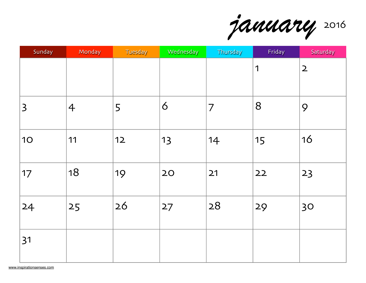*january* 2016

| Sunday         | Monday         | Tuesday | Wednesday | Thursday       | Friday | Saturday     |
|----------------|----------------|---------|-----------|----------------|--------|--------------|
|                |                |         |           |                | 1      | $\mathbf{2}$ |
| $\overline{3}$ | $\overline{4}$ | 5       | 6         | $\overline{7}$ | 8      | 9            |
| 10             | 11             | $12$    | 13        | 14             | 15     | 16           |
| 17             | 18             | 19      | 20        | 21             | 22     | 23           |
| 24             | 25             | 26      | 27        | 28             | 29     | 30           |
| 31             |                |         |           |                |        |              |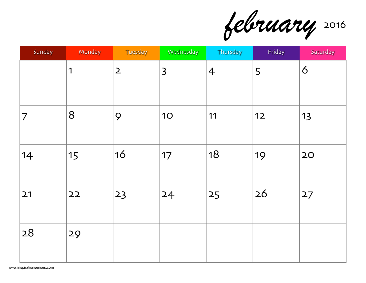*february* 2016

| Sunday         | Monday | Tuesday      | Wednesday      | Thursday       | Friday | Saturday |
|----------------|--------|--------------|----------------|----------------|--------|----------|
|                | 1      | $\mathbf{2}$ | $\overline{3}$ | $\overline{4}$ | 5      | 6        |
| $\overline{7}$ | 8      | 9            | <b>10</b>      | 11             | $12$   | 13       |
| 14             | 15     | 16           | 17             | 18             | 19     | 20       |
| 21             | 22     | 23           | 24             | 25             | 26     | 27       |
| 28             | 29     |              |                |                |        |          |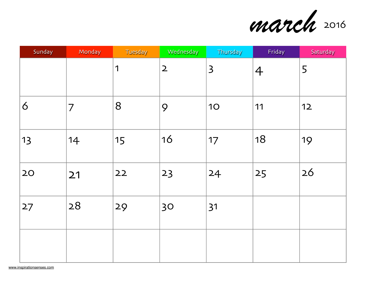

| Sunday | Monday | Tuesday | Wednesday      | Thursday                | Friday         | Saturday |
|--------|--------|---------|----------------|-------------------------|----------------|----------|
|        |        | 1       | $\overline{2}$ | $\overline{\mathsf{3}}$ | $\overline{4}$ | 5        |
| 6      | 7      | 8       | 9              | <b>10</b>               | 11             | $12$     |
| 13     | 14     | 15      | 16             | 17                      | 18             | 19       |
| 20     | 21     | 22      | 23             | 24                      | 25             | 26       |
| 27     | 28     | 29      | 30             | 31                      |                |          |
|        |        |         |                |                         |                |          |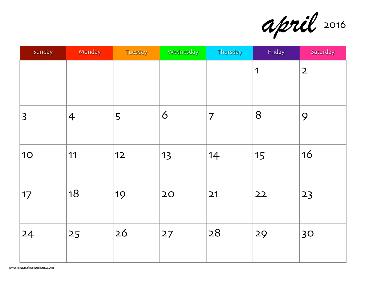*april* 2016

| Sunday         | Monday         | Tuesday | Wednesday | Thursday | Friday | Saturday     |
|----------------|----------------|---------|-----------|----------|--------|--------------|
|                |                |         |           |          | 1      | $\mathsf{2}$ |
| $\overline{3}$ | $\overline{4}$ | 5       | 6         | 7        | 8      | 9            |
| <b>10</b>      | 11             | $12$    | 13        | 14       | 15     | 16           |
| 17             | 18             | 19      | 20        | 21       | 22     | 23           |
| 24             | 25             | 26      | 27        | 28       | 29     | 30           |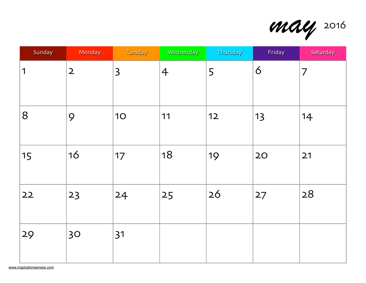*may* 2016

| Sunday | Monday       | Tuesday        | Wednesday      | Thursday | Friday | Saturday       |
|--------|--------------|----------------|----------------|----------|--------|----------------|
| 1      | $\mathbf{2}$ | $\overline{3}$ | $\overline{4}$ | 5        | 6      | $\overline{7}$ |
| 8      | 9            | <b>10</b>      | 11             | $12$     | 13     | 14             |
| 15     | 16           | 17             | 18             | 19       | 20     | 21             |
| 22     | 23           | 24             | 25             | 26       | 27     | 28             |
| 29     | 30           | 31             |                |          |        |                |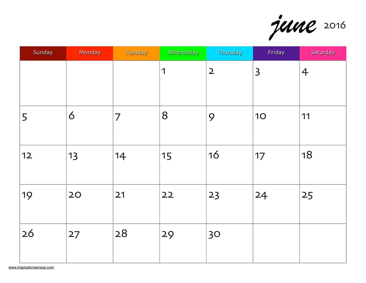*june* 2016

| Sunday | Monday | Tuesday | Wednesday | Thursday     | Friday         | Saturday       |
|--------|--------|---------|-----------|--------------|----------------|----------------|
|        |        |         | 1         | $\mathbf{2}$ | $\overline{3}$ | $\overline{4}$ |
| 5      | 6      | 7       | 8         | 9            | 10             | 11             |
| $12$   | 13     | 14      | 15        | 16           | 17             | 18             |
| 19     | 20     | 21      | 22        | 23           | 24             | 25             |
| 26     | 27     | 28      | 29        | 30           |                |                |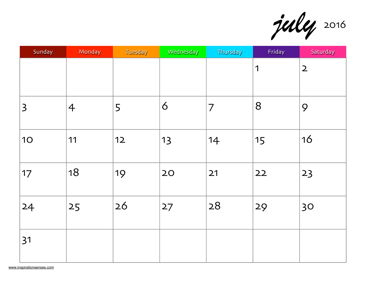*july* 2016

| Sunday         | Monday         | Tuesday | Wednesday | Thursday       | Friday         | Saturday     |
|----------------|----------------|---------|-----------|----------------|----------------|--------------|
|                |                |         |           |                | $\overline{1}$ | $\mathsf{2}$ |
| $\overline{3}$ | $\overline{4}$ | 5       | 6         | $\overline{7}$ | 8              | 9            |
| 10             | 11             | $12$    | 13        | 14             | 15             | 16           |
| 17             | 18             | 19      | 20        | 21             | 22             | 23           |
| 24             | 25             | 26      | 27        | 28             | 29             | 30           |
| 31             |                |         |           |                |                |              |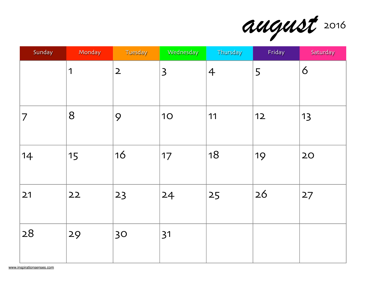

| Sunday | Monday | Tuesday                 | Wednesday      | Thursday       | Friday | Saturday |
|--------|--------|-------------------------|----------------|----------------|--------|----------|
|        | 1      | $\overline{\mathbf{2}}$ | $\overline{3}$ | $\overline{4}$ | 5      | 6        |
| 7      | 8      | 9                       | <b>10</b>      | 11             | $12$   | 13       |
| 14     | 15     | 16                      | 17             | 18             | 19     | 20       |
| 21     | 22     | 23                      | 24             | 25             | 26     | 27       |
| 28     | 29     | 30                      | 31             |                |        |          |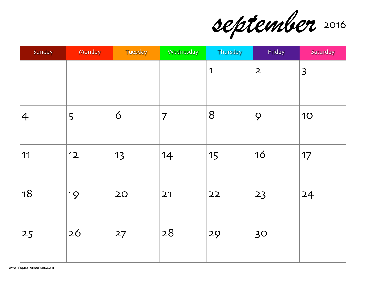*september* 2016

| Sunday         | Monday | Tuesday | Wednesday      | Thursday    | Friday       | Saturday                |
|----------------|--------|---------|----------------|-------------|--------------|-------------------------|
|                |        |         |                | $\mathbf 1$ | $\mathsf{2}$ | $\overline{\mathbf{3}}$ |
| $\overline{4}$ | 5      | 6       | $\overline{7}$ | 8           | 9            | 10                      |
| 11             | $12$   | 13      | 14             | 15          | 16           | 17                      |
| 18             | 19     | 20      | 21             | 22          | 23           | 24                      |
| 25             | 26     | 27      | 28             | 29          | 30           |                         |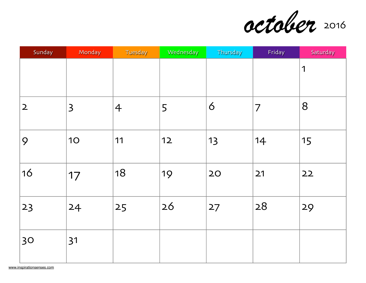*october* 2016

| Sunday         | Monday         | Tuesday        | Wednesday | Thursday | Friday | Saturday |
|----------------|----------------|----------------|-----------|----------|--------|----------|
|                |                |                |           |          |        | 1        |
| $\overline{2}$ | $\overline{3}$ | $\overline{4}$ | 5         | 6        | 7      | 8        |
| 9              | <b>10</b>      | 11             | $12$      | 13       | 14     | 15       |
| 16             | 17             | 18             | 19        | 20       | 21     | 22       |
| 23             | 24             | 25             | 26        | 27       | 28     | 29       |
| 30             | 31             |                |           |          |        |          |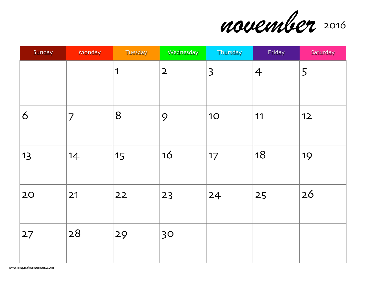

| Sunday | Monday | Tuesday        | Wednesday    | Thursday                | Friday         | Saturday |
|--------|--------|----------------|--------------|-------------------------|----------------|----------|
|        |        | $\overline{1}$ | $\mathbf{2}$ | $\overline{\mathbf{3}}$ | $\overline{4}$ | 5        |
| 6      | 7      | 8              | 9            | <b>10</b>               | 11             | $12$     |
| 13     | 14     | 15             | 16           | 17                      | 18             | 19       |
| 20     | 21     | 22             | 23           | 24                      | 25             | 26       |
| 27     | 28     | 29             | 30           |                         |                |          |